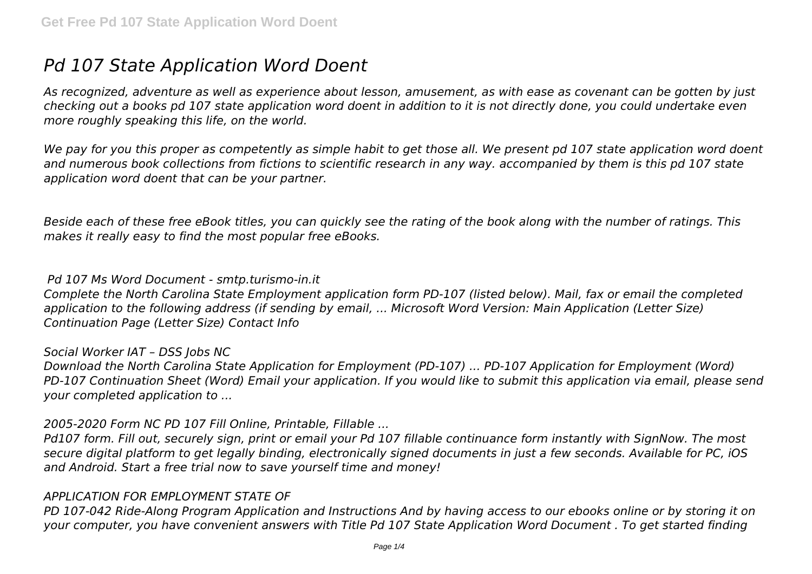# *Pd 107 State Application Word Doent*

*As recognized, adventure as well as experience about lesson, amusement, as with ease as covenant can be gotten by just checking out a books pd 107 state application word doent in addition to it is not directly done, you could undertake even more roughly speaking this life, on the world.*

*We pay for you this proper as competently as simple habit to get those all. We present pd 107 state application word doent and numerous book collections from fictions to scientific research in any way. accompanied by them is this pd 107 state application word doent that can be your partner.*

*Beside each of these free eBook titles, you can quickly see the rating of the book along with the number of ratings. This makes it really easy to find the most popular free eBooks.*

#### *Pd 107 Ms Word Document - smtp.turismo-in.it*

*Complete the North Carolina State Employment application form PD-107 (listed below). Mail, fax or email the completed application to the following address (if sending by email, ... Microsoft Word Version: Main Application (Letter Size) Continuation Page (Letter Size) Contact Info*

#### *Social Worker IAT – DSS Jobs NC*

*Download the North Carolina State Application for Employment (PD-107) ... PD-107 Application for Employment (Word) PD-107 Continuation Sheet (Word) Email your application. If you would like to submit this application via email, please send your completed application to ...*

#### *2005-2020 Form NC PD 107 Fill Online, Printable, Fillable ...*

*Pd107 form. Fill out, securely sign, print or email your Pd 107 fillable continuance form instantly with SignNow. The most secure digital platform to get legally binding, electronically signed documents in just a few seconds. Available for PC, iOS and Android. Start a free trial now to save yourself time and money!*

## *APPLICATION FOR EMPLOYMENT STATE OF*

*PD 107-042 Ride-Along Program Application and Instructions And by having access to our ebooks online or by storing it on your computer, you have convenient answers with Title Pd 107 State Application Word Document . To get started finding*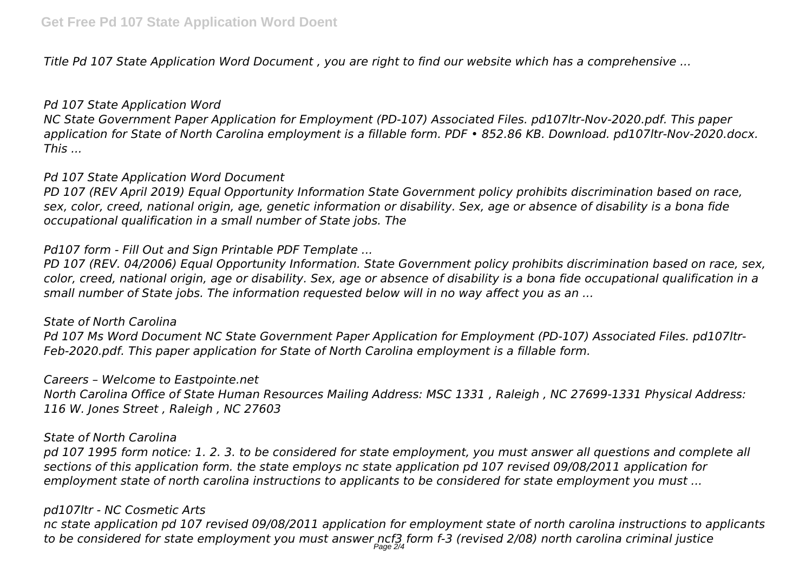*Title Pd 107 State Application Word Document , you are right to find our website which has a comprehensive ...*

#### *Pd 107 State Application Word*

*NC State Government Paper Application for Employment (PD-107) Associated Files. pd107ltr-Nov-2020.pdf. This paper application for State of North Carolina employment is a fillable form. PDF • 852.86 KB. Download. pd107ltr-Nov-2020.docx. This ...*

#### *Pd 107 State Application Word Document*

*PD 107 (REV April 2019) Equal Opportunity Information State Government policy prohibits discrimination based on race, sex, color, creed, national origin, age, genetic information or disability. Sex, age or absence of disability is a bona fide occupational qualification in a small number of State jobs. The*

## *Pd107 form - Fill Out and Sign Printable PDF Template ...*

*PD 107 (REV. 04/2006) Equal Opportunity Information. State Government policy prohibits discrimination based on race, sex, color, creed, national origin, age or disability. Sex, age or absence of disability is a bona fide occupational qualification in a small number of State jobs. The information requested below will in no way affect you as an ...*

#### *State of North Carolina*

*Pd 107 Ms Word Document NC State Government Paper Application for Employment (PD-107) Associated Files. pd107ltr-Feb-2020.pdf. This paper application for State of North Carolina employment is a fillable form.*

#### *Careers – Welcome to Eastpointe.net*

*North Carolina Office of State Human Resources Mailing Address: MSC 1331 , Raleigh , NC 27699-1331 Physical Address: 116 W. Jones Street , Raleigh , NC 27603*

#### *State of North Carolina*

*pd 107 1995 form notice: 1. 2. 3. to be considered for state employment, you must answer all questions and complete all sections of this application form. the state employs nc state application pd 107 revised 09/08/2011 application for employment state of north carolina instructions to applicants to be considered for state employment you must ...*

## *pd107ltr - NC Cosmetic Arts*

*nc state application pd 107 revised 09/08/2011 application for employment state of north carolina instructions to applicants to be considered for state employment you must answer ncf3 form f-3 (revised 2/08) north carolina criminal justice* Page 2/4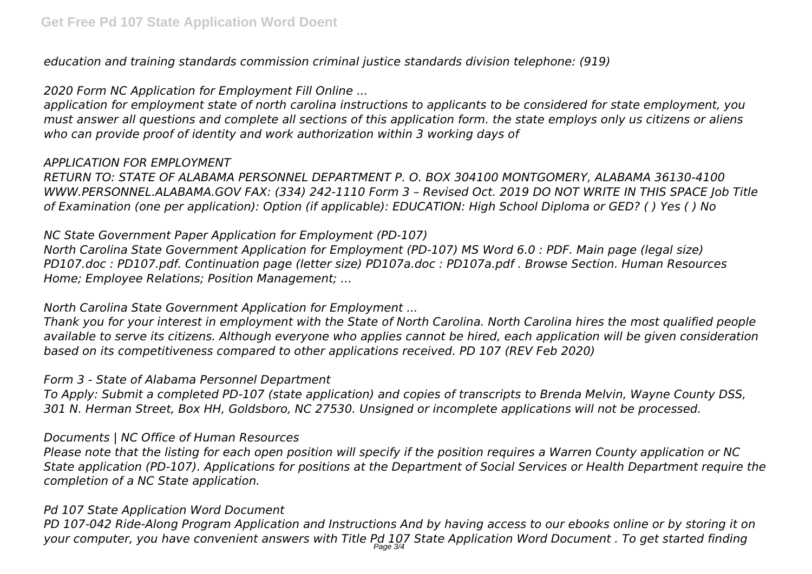*education and training standards commission criminal justice standards division telephone: (919)*

## *2020 Form NC Application for Employment Fill Online ...*

*application for employment state of north carolina instructions to applicants to be considered for state employment, you must answer all questions and complete all sections of this application form. the state employs only us citizens or aliens who can provide proof of identity and work authorization within 3 working days of*

# *APPLICATION FOR EMPLOYMENT*

*RETURN TO: STATE OF ALABAMA PERSONNEL DEPARTMENT P. O. BOX 304100 MONTGOMERY, ALABAMA 36130-4100 WWW.PERSONNEL.ALABAMA.GOV FAX: (334) 242-1110 Form 3 – Revised Oct. 2019 DO NOT WRITE IN THIS SPACE Job Title of Examination (one per application): Option (if applicable): EDUCATION: High School Diploma or GED? ( ) Yes ( ) No*

# *NC State Government Paper Application for Employment (PD-107)*

*North Carolina State Government Application for Employment (PD-107) MS Word 6.0 : PDF. Main page (legal size) PD107.doc : PD107.pdf. Continuation page (letter size) PD107a.doc : PD107a.pdf . Browse Section. Human Resources Home; Employee Relations; Position Management; ...*

# *North Carolina State Government Application for Employment ...*

*Thank you for your interest in employment with the State of North Carolina. North Carolina hires the most qualified people available to serve its citizens. Although everyone who applies cannot be hired, each application will be given consideration based on its competitiveness compared to other applications received. PD 107 (REV Feb 2020)*

## *Form 3 - State of Alabama Personnel Department*

*To Apply: Submit a completed PD-107 (state application) and copies of transcripts to Brenda Melvin, Wayne County DSS, 301 N. Herman Street, Box HH, Goldsboro, NC 27530. Unsigned or incomplete applications will not be processed.*

## *Documents | NC Office of Human Resources*

*Please note that the listing for each open position will specify if the position requires a Warren County application or NC State application (PD-107). Applications for positions at the Department of Social Services or Health Department require the completion of a NC State application.*

# *Pd 107 State Application Word Document*

*PD 107-042 Ride-Along Program Application and Instructions And by having access to our ebooks online or by storing it on your computer, you have convenient answers with Title Pd 107 State Application Word Document . To get started finding* Page 3/4